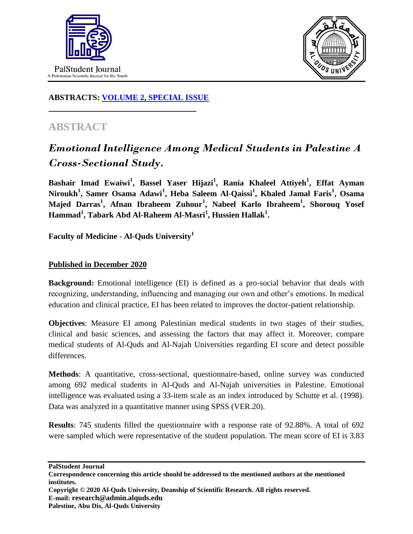



## **ABSTRACTS: [VOLUME 2, SPECIAL ISSUE](https://www.thelancet.com/journals/lancet/issue/vol393nonull/PIIS0140-6736(19)X0012-4)**

**\_\_\_\_\_\_\_\_\_\_\_\_\_\_\_\_\_\_\_\_\_\_\_\_\_\_\_\_\_\_\_\_\_\_\_\_\_\_\_\_**

## **ABSTRACT**

## *Emotional Intelligence Among Medical Students in Palestine A Cross-Sectional Study.*

**Bashair Imad Ewaiwi<sup>1</sup> , Bassel Yaser Hijazi<sup>1</sup> , Rania Khaleel Attiyeh<sup>1</sup> , Effat Ayman**   $N$ iroukh<sup>1</sup>, Samer Osama Adawi<sup>1</sup>, Heba Saleem Al-Qaissi<sup>1</sup>, Khaled Jamal Faris<sup>1</sup>, Osama **Majed Darras 1 , Afnan Ibraheem Zuhour<sup>1</sup> , Nabeel Karlo Ibraheem<sup>1</sup> , Shorouq Yosef Hammad<sup>1</sup> , Tabark Abd Al-Raheem Al-Masri<sup>1</sup> , Hussien Hallak<sup>1</sup> .**

**Faculty of Medicine - Al-Quds University<sup>1</sup>**

## **Published in December 2020**

**Background:** Emotional intelligence (EI) is defined as a pro-social behavior that deals with recognizing, understanding, influencing and managing our own and other's emotions. In medical education and clinical practice, EI has been related to improves the doctor-patient relationship.

**Objectives**: Measure EI among Palestinian medical students in two stages of their studies, clinical and basic sciences, and assessing the factors that may affect it. Moreover, compare medical students of Al-Quds and Al-Najah Universities regarding EI score and detect possible differences.

**Methods**: A quantitative, cross-sectional, questionnaire-based, online survey was conducted among 692 medical students in Al-Quds and Al-Najah universities in Palestine. Emotional intelligence was evaluated using a 33-item scale as an index introduced by Schutte et al. (1998). Data was analyzed in a quantitative manner using SPSS (VER.20).

**Results**: 745 students filled the questionnaire with a response rate of 92.88%. A total of 692 were sampled which were representative of the student population. The mean score of EI is 3.83

**PalStudent Journal Correspondence concerning this article should be addressed to the mentioned authors at the mentioned institutes. Copyright © 2020 Al-Quds University, Deanship of Scientific Research. All rights reserved. E-mail: research@admin.alquds.edu**

**Palestine, Abu Dis, Al-Quds University**